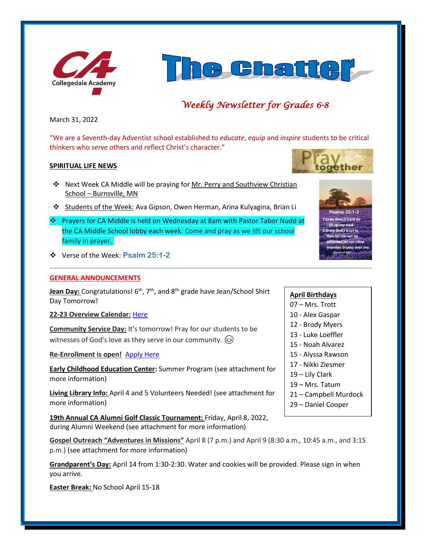



# *Weekly Newsletter for Grades 6-8*

March 31, 2022

"We are a Seventh-day Adventist school established to *educate*, *equip* and *inspire* students to be critical thinkers who *serve* others and reflect Christ's character."

#### **SPIRITUAL LIFE NEWS**

- ❖ Next Week CA Middle will be praying for Mr. Perry and Southview Christian School – Burnsville, MN
- ❖ Students of the Week: Ava Gipson, Owen Herman, Arina Kulyagina, Brian Li
- ❖ Prayers for CA Middle is held on Wednesday at 8am with Pastor Tabor Nudd at the CA Middle School lobby each week. Come and pray as we lift our school family in prayer.
- ❖ Verse of the Week: **Psalm 25:1-2**

#### **GENERAL ANNOUNCEMENTS**

Jean Day: Congratulations! 6<sup>th</sup>, 7<sup>th</sup>, and 8<sup>th</sup> grade have Jean/School Shirt Day Tomorrow!

**22-23 Overview Calendar:** [Here](https://www.collegedaleacademy.com/wp-content/uploads/2022/03/2022-23-Overview-Calendar-middle.pdf)

**Community Service Day:** It's tomorrow! Pray for our students to be witnesses of God's love as they serve in our community.  $\circled{e}$ 

**Re-Enrollment is open!** [Apply Here](http://collegedaleacademy.com/apply)

**Early Childhood Education Center:** Summer Program (see attachment for more information)

**Living Library Info:** April 4 and 5 Volunteers Needed! (see attachment for more information)

**19th Annual CA Alumni Golf Classic Tournament:** Friday, April 8, 2022, during Alumni Weekend (see attachment for more information)

**Gospel Outreach "Adventures in Missions"** April 8 (7 p.m.) and April 9 (8:30 a.m., 10:45 a.m., and 3:15 p.m.) (see attachment for more information)

**Grandparent's Day:** April 14 from 1:30-2:30. Water and cookies will be provided. Please sign in when you arrive.

**Easter Break:** No School April 15-18





 $P<sub>S</sub>alms 25:1-2$ 1: Unto thee, O Lord do I lift up my sou 2:0 my God,I trust in : let me not be flet not mine es triump over m

### **April Birthdays**

- 07 Mrs. Trott
- 10 Alex Gaspar
- 12 Brody Myers
- 13 Luke Loeffler
- 15 Noah Alvarez
- 15 Alyssa Rawson
- 17 Nikki Ziesmer
- 19 Lily Clark
- 19 Mrs. Tatum
- 21 Campbell Murdock
- 29 Daniel Cooper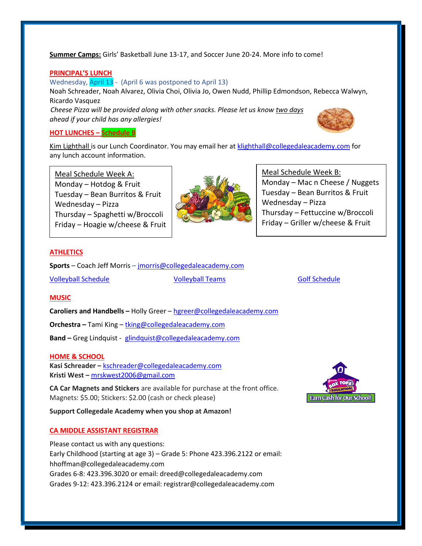**Summer Camps:** Girls' Basketball June 13-17, and Soccer June 20-24. More info to come!

#### **PRINCIPAL'S LUNCH**

Wednesday, April 13 - (April 6 was postponed to April 13) Noah Schreader, Noah Alvarez, Olivia Choi, Olivia Jo, Owen Nudd, Phillip Edmondson, Rebecca Walwyn, Ricardo Vasquez *Cheese Pizza will be provided along with other snacks. Please let us know two days ahead if your child has any allergies!*

#### **HOT LUNCHES – Schedule B**

Kim Lighthall is our Lunch Coordinator. You may email her a[t klighthall@collegedaleacademy.com](mailto:klighthall@collegedaleacademy.com) for any lunch account information.

Meal Schedule Week A: Monday – Hotdog  $&$  Fruit Tuesday – Bean Burritos & Fruit Wednesday – Pizza Thursday – Spaghetti w/Broccoli Friday – Hoagie w/cheese & Fruit



#### Meal Schedule Week B:

Monday – Mac n Cheese / Nuggets Tuesday – Bean Burritos & Fruit Wednesday – Pizza Thursday – Fettuccine w/Broccoli Friday – Griller w/cheese & Fruit

#### **ATHLETICS**

**Sports** – Coach Jeff Morris – [jmorris@collegedaleacademy.com](mailto:jmorris@collegedaleacademy.com)

[Volleyball Schedule](https://www.collegedaleacademy.com/wp-content/uploads/2022/02/2022-Volleyball-schedule.pdf) [Volleyball Teams](https://www.collegedaleacademy.com/wp-content/uploads/2022/02/2021-2022-Volleyball-Teams-1.pdf) [Golf Schedule](https://www.collegedaleacademy.com/wp-content/uploads/2022/03/2022-ISC-Golf-Schedule.pdf)

#### **MUSIC**

**Caroliers and Handbells –** Holly Greer – [hgreer@collegedaleacademy.com](mailto:hgreer@collegedaleacademy.com)

**Orchestra –** Tami King – [tking@collegedaleacademy.com](mailto:tking@collegedaleacademy.com)

**Band –** Greg Lindquist - [glindquist@collegedaleacademy.com](mailto:glindquist@collegedaleacademy.com)

#### **HOME & SCHOOL**

**Kasi Schreader –** [kschreader@collegedaleacademy.com](mailto:kschreader@collegedaleacademy.com) **Kristi West –** [mrskwest2006@gmail.com](mailto:mrskwest2006@gmail.com)

**CA Car Magnets and Stickers** are available for purchase at the front office. Magnets: \$5.00; Stickers: \$2.00 (cash or check please)

**Support Collegedale Academy when you shop at Amazon!**

#### **CA MIDDLE ASSISTANT REGISTRAR**

Please contact us with any questions: Early Childhood (starting at age 3) – Grade 5: Phone 423.396.2122 or email: hhoffman@collegedaleacademy.com Grades 6-8: 423.396.3020 or email: dreed@collegedaleacademy.com Grades 9-12: 423.396.2124 or email: registrar@collegedaleacademy.com